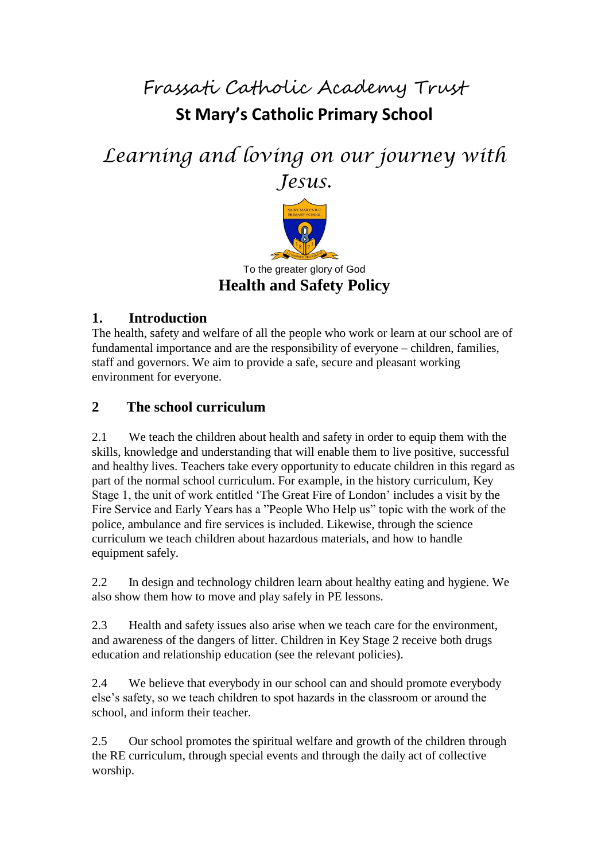Frassati Catholic Academy Trust

## **St Mary's Catholic Primary School**

# *Learning and loving on our journey with Jesus.*



## **1. Introduction**

The health, safety and welfare of all the people who work or learn at our school are of fundamental importance and are the responsibility of everyone – children, families, staff and governors. We aim to provide a safe, secure and pleasant working environment for everyone.

## **2 The school curriculum**

2.1 We teach the children about health and safety in order to equip them with the skills, knowledge and understanding that will enable them to live positive, successful and healthy lives. Teachers take every opportunity to educate children in this regard as part of the normal school curriculum. For example, in the history curriculum, Key Stage 1, the unit of work entitled 'The Great Fire of London' includes a visit by the Fire Service and Early Years has a "People Who Help us" topic with the work of the police, ambulance and fire services is included. Likewise, through the science curriculum we teach children about hazardous materials, and how to handle equipment safely.

2.2 In design and technology children learn about healthy eating and hygiene. We also show them how to move and play safely in PE lessons.

2.3 Health and safety issues also arise when we teach care for the environment, and awareness of the dangers of litter. Children in Key Stage 2 receive both drugs education and relationship education (see the relevant policies).

2.4 We believe that everybody in our school can and should promote everybody else's safety, so we teach children to spot hazards in the classroom or around the school, and inform their teacher.

2.5 Our school promotes the spiritual welfare and growth of the children through the RE curriculum, through special events and through the daily act of collective worship.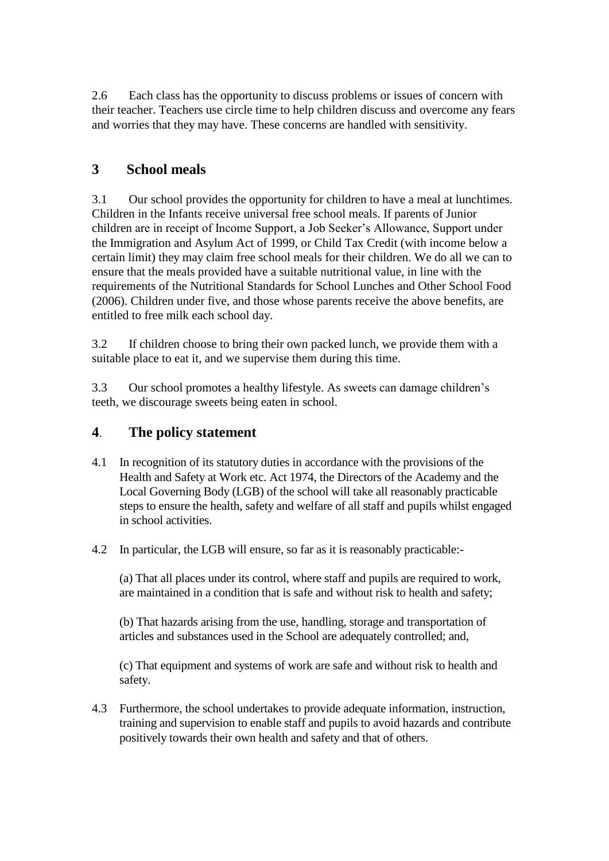2.6 Each class has the opportunity to discuss problems or issues of concern with their teacher. Teachers use circle time to help children discuss and overcome any fears and worries that they may have. These concerns are handled with sensitivity.

## **3 School meals**

3.1 Our school provides the opportunity for children to have a meal at lunchtimes. Children in the Infants receive universal free school meals. If parents of Junior children are in receipt of Income Support, a Job Seeker's Allowance, Support under the Immigration and Asylum Act of 1999, or Child Tax Credit (with income below a certain limit) they may claim free school meals for their children. We do all we can to ensure that the meals provided have a suitable nutritional value, in line with the requirements of the Nutritional Standards for School Lunches and Other School Food (2006). Children under five, and those whose parents receive the above benefits, are entitled to free milk each school day.

3.2 If children choose to bring their own packed lunch, we provide them with a suitable place to eat it, and we supervise them during this time.

3.3 Our school promotes a healthy lifestyle. As sweets can damage children's teeth, we discourage sweets being eaten in school.

## **4**. **The policy statement**

- 4.1 In recognition of its statutory duties in accordance with the provisions of the Health and Safety at Work etc. Act 1974, the Directors of the Academy and the Local Governing Body (LGB) of the school will take all reasonably practicable steps to ensure the health, safety and welfare of all staff and pupils whilst engaged in school activities.
- 4.2 In particular, the LGB will ensure, so far as it is reasonably practicable:-

(a) That all places under its control, where staff and pupils are required to work, are maintained in a condition that is safe and without risk to health and safety;

(b) That hazards arising from the use, handling, storage and transportation of articles and substances used in the School are adequately controlled; and,

(c) That equipment and systems of work are safe and without risk to health and safety.

4.3 Furthermore, the school undertakes to provide adequate information, instruction, training and supervision to enable staff and pupils to avoid hazards and contribute positively towards their own health and safety and that of others.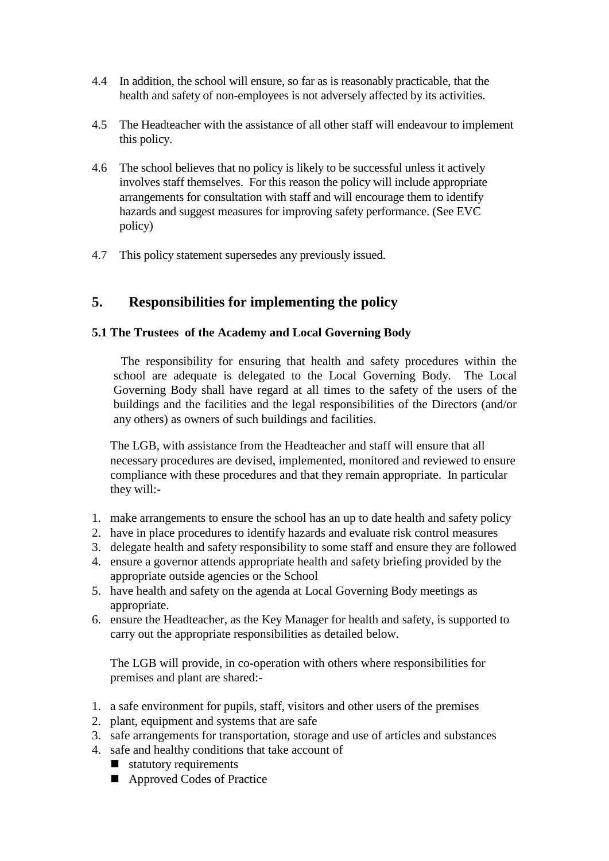- 4.4 In addition, the school will ensure, so far as is reasonably practicable, that the health and safety of non-employees is not adversely affected by its activities.
- 4.5 The Headteacher with the assistance of all other staff will endeavour to implement this policy.
- 4.6 The school believes that no policy is likely to be successful unless it actively involves staff themselves. For this reason the policy will include appropriate arrangements for consultation with staff and will encourage them to identify hazards and suggest measures for improving safety performance. (See EVC policy)
- 4.7 This policy statement supersedes any previously issued.

### **5. Responsibilities for implementing the policy**

#### **5.1 The Trustees of the Academy and Local Governing Body**

The responsibility for ensuring that health and safety procedures within the school are adequate is delegated to the Local Governing Body. The Local Governing Body shall have regard at all times to the safety of the users of the buildings and the facilities and the legal responsibilities of the Directors (and/or any others) as owners of such buildings and facilities.

The LGB, with assistance from the Headteacher and staff will ensure that all necessary procedures are devised, implemented, monitored and reviewed to ensure compliance with these procedures and that they remain appropriate. In particular they will:-

- 1. make arrangements to ensure the school has an up to date health and safety policy
- 2. have in place procedures to identify hazards and evaluate risk control measures
- 3. delegate health and safety responsibility to some staff and ensure they are followed
- 4. ensure a governor attends appropriate health and safety briefing provided by the appropriate outside agencies or the School
- 5. have health and safety on the agenda at Local Governing Body meetings as appropriate.
- 6. ensure the Headteacher, as the Key Manager for health and safety, is supported to carry out the appropriate responsibilities as detailed below.

The LGB will provide, in co-operation with others where responsibilities for premises and plant are shared:-

- 1. a safe environment for pupils, staff, visitors and other users of the premises
- 2. plant, equipment and systems that are safe
- 3. safe arrangements for transportation, storage and use of articles and substances
- 4. safe and healthy conditions that take account of
	- statutory requirements
	- Approved Codes of Practice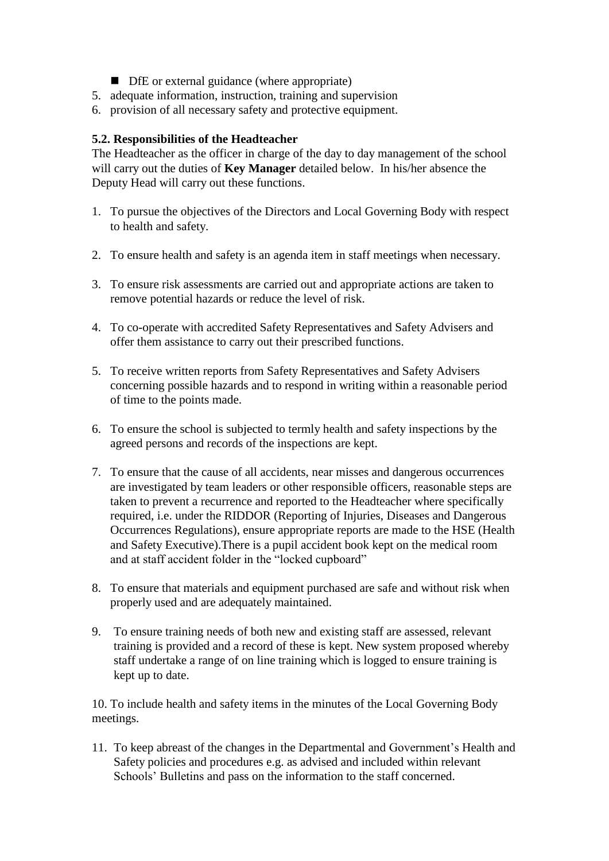- DfE or external guidance (where appropriate)
- 5. adequate information, instruction, training and supervision
- 6. provision of all necessary safety and protective equipment.

#### **5.2. Responsibilities of the Headteacher**

The Headteacher as the officer in charge of the day to day management of the school will carry out the duties of **Key Manager** detailed below. In his/her absence the Deputy Head will carry out these functions.

- 1. To pursue the objectives of the Directors and Local Governing Body with respect to health and safety.
- 2. To ensure health and safety is an agenda item in staff meetings when necessary.
- 3. To ensure risk assessments are carried out and appropriate actions are taken to remove potential hazards or reduce the level of risk.
- 4. To co-operate with accredited Safety Representatives and Safety Advisers and offer them assistance to carry out their prescribed functions.
- 5. To receive written reports from Safety Representatives and Safety Advisers concerning possible hazards and to respond in writing within a reasonable period of time to the points made.
- 6. To ensure the school is subjected to termly health and safety inspections by the agreed persons and records of the inspections are kept.
- 7. To ensure that the cause of all accidents, near misses and dangerous occurrences are investigated by team leaders or other responsible officers, reasonable steps are taken to prevent a recurrence and reported to the Headteacher where specifically required, i.e. under the RIDDOR (Reporting of Injuries, Diseases and Dangerous Occurrences Regulations), ensure appropriate reports are made to the HSE (Health and Safety Executive).There is a pupil accident book kept on the medical room and at staff accident folder in the "locked cupboard"
- 8. To ensure that materials and equipment purchased are safe and without risk when properly used and are adequately maintained.
- 9. To ensure training needs of both new and existing staff are assessed, relevant training is provided and a record of these is kept. New system proposed whereby staff undertake a range of on line training which is logged to ensure training is kept up to date.

10. To include health and safety items in the minutes of the Local Governing Body meetings.

11. To keep abreast of the changes in the Departmental and Government's Health and Safety policies and procedures e.g. as advised and included within relevant Schools' Bulletins and pass on the information to the staff concerned.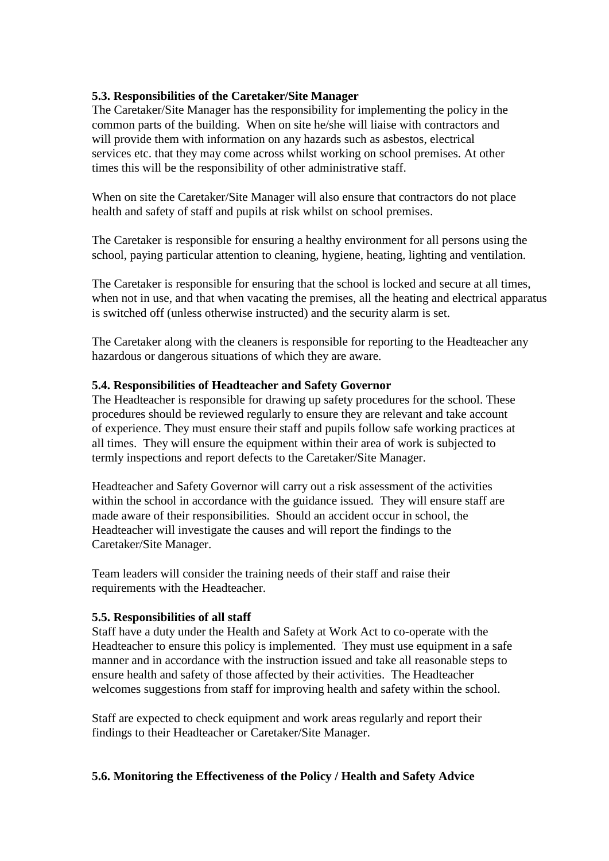#### **5.3. Responsibilities of the Caretaker/Site Manager**

The Caretaker/Site Manager has the responsibility for implementing the policy in the common parts of the building. When on site he/she will liaise with contractors and will provide them with information on any hazards such as asbestos, electrical services etc. that they may come across whilst working on school premises. At other times this will be the responsibility of other administrative staff.

When on site the Caretaker/Site Manager will also ensure that contractors do not place health and safety of staff and pupils at risk whilst on school premises.

The Caretaker is responsible for ensuring a healthy environment for all persons using the school, paying particular attention to cleaning, hygiene, heating, lighting and ventilation.

The Caretaker is responsible for ensuring that the school is locked and secure at all times, when not in use, and that when vacating the premises, all the heating and electrical apparatus is switched off (unless otherwise instructed) and the security alarm is set.

The Caretaker along with the cleaners is responsible for reporting to the Headteacher any hazardous or dangerous situations of which they are aware.

#### **5.4. Responsibilities of Headteacher and Safety Governor**

The Headteacher is responsible for drawing up safety procedures for the school. These procedures should be reviewed regularly to ensure they are relevant and take account of experience. They must ensure their staff and pupils follow safe working practices at all times. They will ensure the equipment within their area of work is subjected to termly inspections and report defects to the Caretaker/Site Manager.

Headteacher and Safety Governor will carry out a risk assessment of the activities within the school in accordance with the guidance issued. They will ensure staff are made aware of their responsibilities. Should an accident occur in school, the Headteacher will investigate the causes and will report the findings to the Caretaker/Site Manager.

Team leaders will consider the training needs of their staff and raise their requirements with the Headteacher.

#### **5.5. Responsibilities of all staff**

Staff have a duty under the Health and Safety at Work Act to co-operate with the Headteacher to ensure this policy is implemented. They must use equipment in a safe manner and in accordance with the instruction issued and take all reasonable steps to ensure health and safety of those affected by their activities. The Headteacher welcomes suggestions from staff for improving health and safety within the school.

Staff are expected to check equipment and work areas regularly and report their findings to their Headteacher or Caretaker/Site Manager.

#### **5.6. Monitoring the Effectiveness of the Policy / Health and Safety Advice**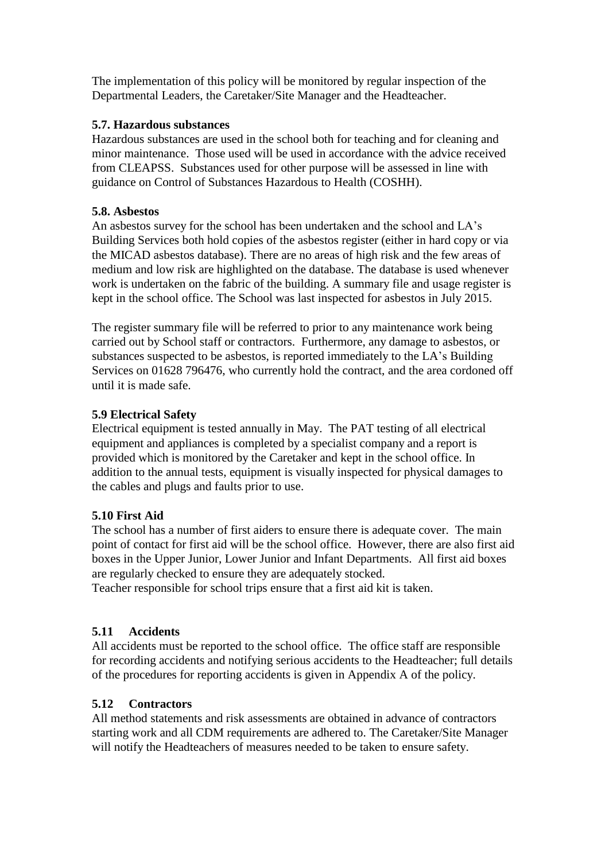The implementation of this policy will be monitored by regular inspection of the Departmental Leaders, the Caretaker/Site Manager and the Headteacher.

#### **5.7. Hazardous substances**

Hazardous substances are used in the school both for teaching and for cleaning and minor maintenance. Those used will be used in accordance with the advice received from CLEAPSS. Substances used for other purpose will be assessed in line with guidance on Control of Substances Hazardous to Health (COSHH).

#### **5.8. Asbestos**

An asbestos survey for the school has been undertaken and the school and LA's Building Services both hold copies of the asbestos register (either in hard copy or via the MICAD asbestos database). There are no areas of high risk and the few areas of medium and low risk are highlighted on the database. The database is used whenever work is undertaken on the fabric of the building. A summary file and usage register is kept in the school office. The School was last inspected for asbestos in July 2015.

The register summary file will be referred to prior to any maintenance work being carried out by School staff or contractors. Furthermore, any damage to asbestos, or substances suspected to be asbestos, is reported immediately to the LA's Building Services on 01628 796476, who currently hold the contract, and the area cordoned off until it is made safe.

#### **5.9 Electrical Safety**

Electrical equipment is tested annually in May. The PAT testing of all electrical equipment and appliances is completed by a specialist company and a report is provided which is monitored by the Caretaker and kept in the school office. In addition to the annual tests, equipment is visually inspected for physical damages to the cables and plugs and faults prior to use.

#### **5.10 First Aid**

The school has a number of first aiders to ensure there is adequate cover. The main point of contact for first aid will be the school office. However, there are also first aid boxes in the Upper Junior, Lower Junior and Infant Departments. All first aid boxes are regularly checked to ensure they are adequately stocked.

Teacher responsible for school trips ensure that a first aid kit is taken.

#### **5.11 Accidents**

All accidents must be reported to the school office. The office staff are responsible for recording accidents and notifying serious accidents to the Headteacher; full details of the procedures for reporting accidents is given in Appendix A of the policy.

#### **5.12 Contractors**

All method statements and risk assessments are obtained in advance of contractors starting work and all CDM requirements are adhered to. The Caretaker/Site Manager will notify the Headteachers of measures needed to be taken to ensure safety.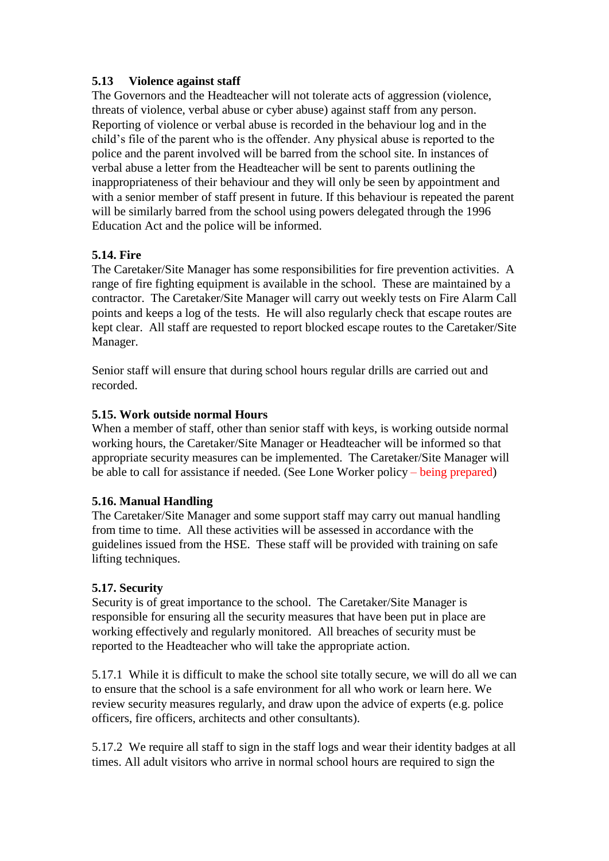#### **5.13 Violence against staff**

The Governors and the Headteacher will not tolerate acts of aggression (violence, threats of violence, verbal abuse or cyber abuse) against staff from any person. Reporting of violence or verbal abuse is recorded in the behaviour log and in the child's file of the parent who is the offender. Any physical abuse is reported to the police and the parent involved will be barred from the school site. In instances of verbal abuse a letter from the Headteacher will be sent to parents outlining the inappropriateness of their behaviour and they will only be seen by appointment and with a senior member of staff present in future. If this behaviour is repeated the parent will be similarly barred from the school using powers delegated through the 1996 Education Act and the police will be informed.

#### **5.14. Fire**

The Caretaker/Site Manager has some responsibilities for fire prevention activities. A range of fire fighting equipment is available in the school. These are maintained by a contractor. The Caretaker/Site Manager will carry out weekly tests on Fire Alarm Call points and keeps a log of the tests. He will also regularly check that escape routes are kept clear. All staff are requested to report blocked escape routes to the Caretaker/Site Manager.

Senior staff will ensure that during school hours regular drills are carried out and recorded.

#### **5.15. Work outside normal Hours**

When a member of staff, other than senior staff with keys, is working outside normal working hours, the Caretaker/Site Manager or Headteacher will be informed so that appropriate security measures can be implemented. The Caretaker/Site Manager will be able to call for assistance if needed. (See Lone Worker policy – being prepared)

#### **5.16. Manual Handling**

The Caretaker/Site Manager and some support staff may carry out manual handling from time to time. All these activities will be assessed in accordance with the guidelines issued from the HSE. These staff will be provided with training on safe lifting techniques.

#### **5.17. Security**

Security is of great importance to the school. The Caretaker/Site Manager is responsible for ensuring all the security measures that have been put in place are working effectively and regularly monitored. All breaches of security must be reported to the Headteacher who will take the appropriate action.

5.17.1 While it is difficult to make the school site totally secure, we will do all we can to ensure that the school is a safe environment for all who work or learn here. We review security measures regularly, and draw upon the advice of experts (e.g. police officers, fire officers, architects and other consultants).

5.17.2 We require all staff to sign in the staff logs and wear their identity badges at all times. All adult visitors who arrive in normal school hours are required to sign the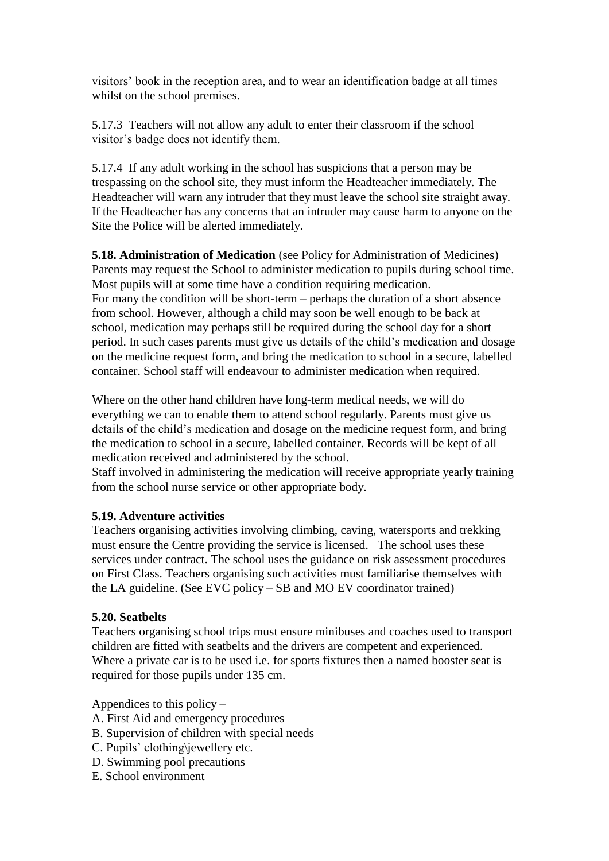visitors' book in the reception area, and to wear an identification badge at all times whilst on the school premises.

5.17.3 Teachers will not allow any adult to enter their classroom if the school visitor's badge does not identify them.

5.17.4 If any adult working in the school has suspicions that a person may be trespassing on the school site, they must inform the Headteacher immediately. The Headteacher will warn any intruder that they must leave the school site straight away. If the Headteacher has any concerns that an intruder may cause harm to anyone on the Site the Police will be alerted immediately.

**5.18. Administration of Medication** (see Policy for Administration of Medicines) Parents may request the School to administer medication to pupils during school time. Most pupils will at some time have a condition requiring medication. For many the condition will be short-term – perhaps the duration of a short absence from school. However, although a child may soon be well enough to be back at school, medication may perhaps still be required during the school day for a short period. In such cases parents must give us details of the child's medication and dosage on the medicine request form, and bring the medication to school in a secure, labelled container. School staff will endeavour to administer medication when required.

Where on the other hand children have long-term medical needs, we will do everything we can to enable them to attend school regularly. Parents must give us details of the child's medication and dosage on the medicine request form, and bring the medication to school in a secure, labelled container. Records will be kept of all medication received and administered by the school.

Staff involved in administering the medication will receive appropriate yearly training from the school nurse service or other appropriate body.

#### **5.19. Adventure activities**

Teachers organising activities involving climbing, caving, watersports and trekking must ensure the Centre providing the service is licensed. The school uses these services under contract. The school uses the guidance on risk assessment procedures on First Class. Teachers organising such activities must familiarise themselves with the LA guideline. (See EVC policy – SB and MO EV coordinator trained)

#### **5.20. Seatbelts**

Teachers organising school trips must ensure minibuses and coaches used to transport children are fitted with seatbelts and the drivers are competent and experienced. Where a private car is to be used i.e. for sports fixtures then a named booster seat is required for those pupils under 135 cm.

Appendices to this policy –

- A. First Aid and emergency procedures
- B. Supervision of children with special needs
- C. Pupils' clothing\jewellery etc.
- D. Swimming pool precautions
- E. School environment